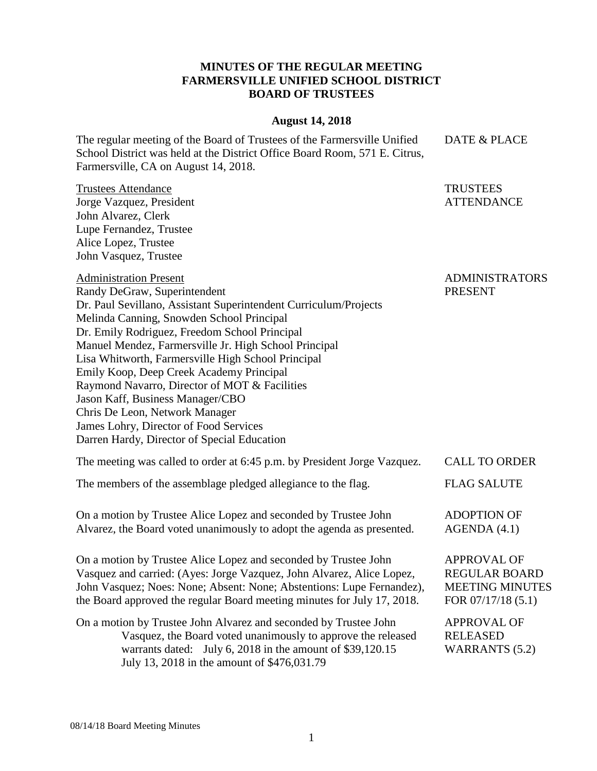## **MINUTES OF THE REGULAR MEETING FARMERSVILLE UNIFIED SCHOOL DISTRICT BOARD OF TRUSTEES**

## **August 14, 2018**

The regular meeting of the Board of Trustees of the Farmersville Unified School District was held at the District Office Board Room, 571 E. Citrus, Farmersville, CA on August 14, 2018.

**TRUSTEES** 

ATTENDANCE

ADMINISTRATORS

REGULAR BOARD MEETING MINUTES FOR 07/17/18 (5.1)

PRESENT

DATE & PLACE

Trustees Attendance Jorge Vazquez, President John Alvarez, Clerk Lupe Fernandez, Trustee Alice Lopez, Trustee John Vasquez, Trustee

Administration Present

Randy DeGraw, Superintendent Dr. Paul Sevillano, Assistant Superintendent Curriculum/Projects Melinda Canning, Snowden School Principal Dr. Emily Rodriguez, Freedom School Principal Manuel Mendez, Farmersville Jr. High School Principal Lisa Whitworth, Farmersville High School Principal Emily Koop, Deep Creek Academy Principal Raymond Navarro, Director of MOT & Facilities Jason Kaff, Business Manager/CBO Chris De Leon, Network Manager James Lohry, Director of Food Services Darren Hardy, Director of Special Education

| The meeting was called to order at 6:45 p.m. by President Jorge Vazquez.                                                                  | <b>CALL TO ORDER</b>              |
|-------------------------------------------------------------------------------------------------------------------------------------------|-----------------------------------|
| The members of the assemblage pledged allegiance to the flag.                                                                             | <b>FLAG SALUTE</b>                |
| On a motion by Trustee Alice Lopez and seconded by Trustee John<br>Alvarez, the Board voted unanimously to adopt the agenda as presented. | <b>ADOPTION OF</b><br>AGENDA(4.1) |
| On a motion by Trustee Alice Lopez and seconded by Trustee John                                                                           | APPROVAL OF                       |

On a motion by Trustee Alice Lopez and seconded by Trustee John Vasquez and carried: (Ayes: Jorge Vazquez, John Alvarez, Alice Lopez, John Vasquez; Noes: None; Absent: None; Abstentions: Lupe Fernandez), the Board approved the regular Board meeting minutes for July 17, 2018.

On a motion by Trustee John Alvarez and seconded by Trustee John Vasquez, the Board voted unanimously to approve the released warrants dated: July 6, 2018 in the amount of \$39,120.15 July 13, 2018 in the amount of \$476,031.79 APPROVAL OF RELEASED WARRANTS (5.2)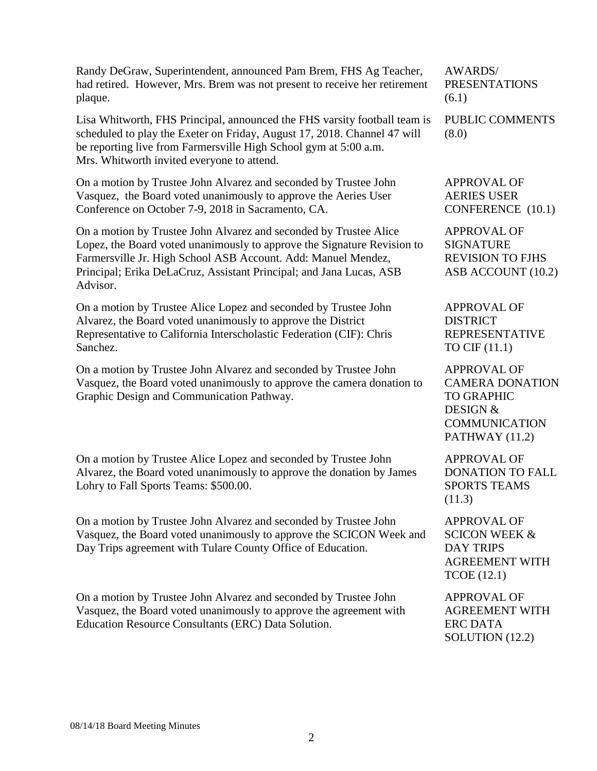Randy DeGraw, Superintendent, announced Pam Brem, FHS Ag Teacher, had retired. However, Mrs. Brem was not present to receive her retirement plaque.

Lisa Whitworth, FHS Principal, announced the FHS varsity football team is scheduled to play the Exeter on Friday, August 17, 2018. Channel 47 will be reporting live from Farmersville High School gym at 5:00 a.m. Mrs. Whitworth invited everyone to attend.

On a motion by Trustee John Alvarez and seconded by Trustee John Vasquez, the Board voted unanimously to approve the Aeries User Conference on October 7-9, 2018 in Sacramento, CA.

On a motion by Trustee John Alvarez and seconded by Trustee Alice Lopez, the Board voted unanimously to approve the Signature Revision to Farmersville Jr. High School ASB Account. Add: Manuel Mendez, Principal; Erika DeLaCruz, Assistant Principal; and Jana Lucas, ASB Advisor.

On a motion by Trustee Alice Lopez and seconded by Trustee John Alvarez, the Board voted unanimously to approve the District Representative to California Interscholastic Federation (CIF): Chris Sanchez.

On a motion by Trustee John Alvarez and seconded by Trustee John Vasquez, the Board voted unanimously to approve the camera donation to Graphic Design and Communication Pathway.

On a motion by Trustee Alice Lopez and seconded by Trustee John Alvarez, the Board voted unanimously to approve the donation by James Lohry to Fall Sports Teams: \$500.00.

On a motion by Trustee John Alvarez and seconded by Trustee John Vasquez, the Board voted unanimously to approve the SCICON Week and Day Trips agreement with Tulare County Office of Education.

On a motion by Trustee John Alvarez and seconded by Trustee John Vasquez, the Board voted unanimously to approve the agreement with Education Resource Consultants (ERC) Data Solution.

AWARDS/ PRESENTATIONS (6.1)

PUBLIC COMMENTS (8.0)

APPROVAL OF AERIES USER CONFERENCE (10.1)

APPROVAL OF SIGNATURE REVISION TO FJHS ASB ACCOUNT (10.2)

APPROVAL OF DISTRICT REPRESENTATIVE TO CIF (11.1)

APPROVAL OF CAMERA DONATION TO GRAPHIC DESIGN & COMMUNICATION PATHWAY (11.2)

APPROVAL OF DONATION TO FALL SPORTS TEAMS (11.3)

APPROVAL OF SCICON WEEK & DAY TRIPS AGREEMENT WITH TCOE (12.1)

APPROVAL OF AGREEMENT WITH ERC DATA SOLUTION (12.2)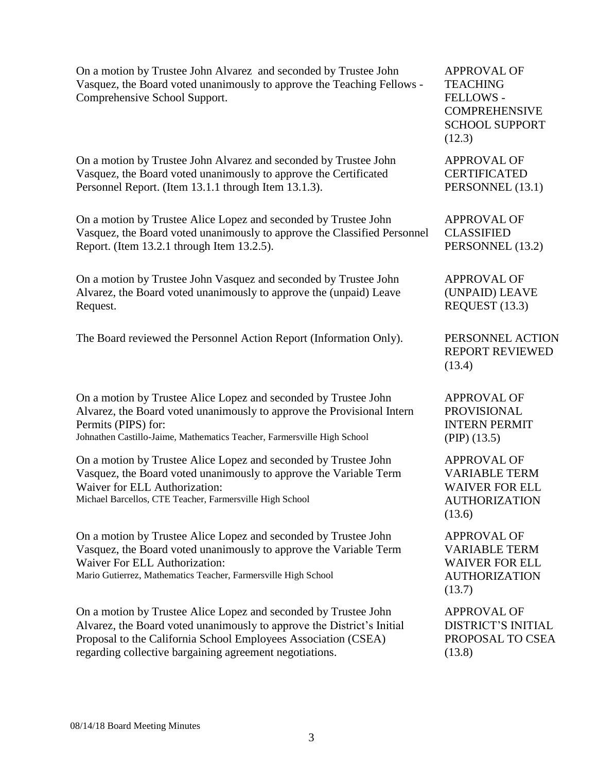| On a motion by Trustee John Alvarez and seconded by Trustee John       |
|------------------------------------------------------------------------|
| Vasquez, the Board voted unanimously to approve the Teaching Fellows - |
| Comprehensive School Support.                                          |

On a motion by Trustee John Alvarez and seconded by Trustee John Vasquez, the Board voted unanimously to approve the Certificated Personnel Report. (Item 13.1.1 through Item 13.1.3).

On a motion by Trustee Alice Lopez and seconded by Trustee John Vasquez, the Board voted unanimously to approve the Classified Personnel Report. (Item 13.2.1 through Item 13.2.5).

On a motion by Trustee John Vasquez and seconded by Trustee John Alvarez, the Board voted unanimously to approve the (unpaid) Leave Request.

The Board reviewed the Personnel Action Report (Information Only). PERSONNEL ACTION

On a motion by Trustee Alice Lopez and seconded by Trustee John Alvarez, the Board voted unanimously to approve the Provisional Intern Permits (PIPS) for:

Johnathen Castillo-Jaime, Mathematics Teacher, Farmersville High School

On a motion by Trustee Alice Lopez and seconded by Trustee John Vasquez, the Board voted unanimously to approve the Variable Term Waiver for ELL Authorization: Michael Barcellos, CTE Teacher, Farmersville High School

On a motion by Trustee Alice Lopez and seconded by Trustee John Vasquez, the Board voted unanimously to approve the Variable Term Waiver For ELL Authorization:

Mario Gutierrez, Mathematics Teacher, Farmersville High School

On a motion by Trustee Alice Lopez and seconded by Trustee John Alvarez, the Board voted unanimously to approve the District's Initial Proposal to the California School Employees Association (CSEA) regarding collective bargaining agreement negotiations.

APPROVAL OF TEACHING FELLOWS - COMPREHENSIVE SCHOOL SUPPORT (12.3)

APPROVAL OF CERTIFICATED PERSONNEL (13.1)

APPROVAL OF CLASSIFIED PERSONNEL (13.2)

APPROVAL OF (UNPAID) LEAVE REQUEST (13.3)

REPORT REVIEWED (13.4)

APPROVAL OF PROVISIONAL INTERN PERMIT (PIP) (13.5)

APPROVAL OF VARIABLE TERM WAIVER FOR ELL AUTHORIZATION (13.6)

APPROVAL OF VARIABLE TERM WAIVER FOR ELL AUTHORIZATION (13.7)

APPROVAL OF DISTRICT'S INITIAL PROPOSAL TO CSEA (13.8)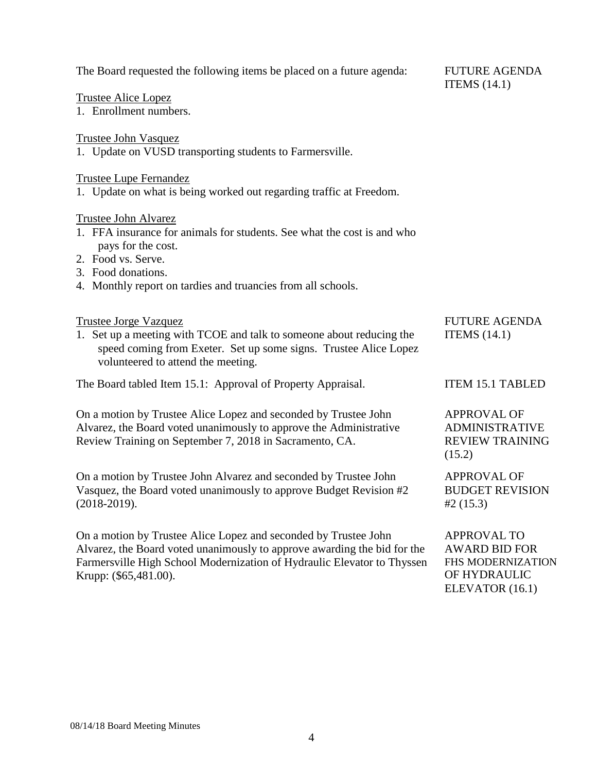| The Board requested the following items be placed on a future agenda:                                                                                                                                                                           | <b>FUTURE AGENDA</b><br>ITEMS $(14.1)$                                          |
|-------------------------------------------------------------------------------------------------------------------------------------------------------------------------------------------------------------------------------------------------|---------------------------------------------------------------------------------|
| <b>Trustee Alice Lopez</b>                                                                                                                                                                                                                      |                                                                                 |
| 1. Enrollment numbers.                                                                                                                                                                                                                          |                                                                                 |
| <b>Trustee John Vasquez</b><br>1. Update on VUSD transporting students to Farmersville.                                                                                                                                                         |                                                                                 |
| <b>Trustee Lupe Fernandez</b><br>1. Update on what is being worked out regarding traffic at Freedom.                                                                                                                                            |                                                                                 |
| <b>Trustee John Alvarez</b><br>1. FFA insurance for animals for students. See what the cost is and who<br>pays for the cost.<br>2. Food vs. Serve.<br>3. Food donations.<br>4. Monthly report on tardies and truancies from all schools.        |                                                                                 |
| <b>Trustee Jorge Vazquez</b><br>1. Set up a meeting with TCOE and talk to someone about reducing the<br>speed coming from Exeter. Set up some signs. Trustee Alice Lopez<br>volunteered to attend the meeting.                                  | <b>FUTURE AGENDA</b><br>ITEMS $(14.1)$                                          |
| The Board tabled Item 15.1: Approval of Property Appraisal.                                                                                                                                                                                     | <b>ITEM 15.1 TABLED</b>                                                         |
| On a motion by Trustee Alice Lopez and seconded by Trustee John<br>Alvarez, the Board voted unanimously to approve the Administrative<br>Review Training on September 7, 2018 in Sacramento, CA.                                                | <b>APPROVAL OF</b><br><b>ADMINISTRATIVE</b><br><b>REVIEW TRAINING</b><br>(15.2) |
| On a motion by Trustee John Alvarez and seconded by Trustee John<br>Vasquez, the Board voted unanimously to approve Budget Revision #2<br>$(2018-2019).$                                                                                        | <b>APPROVAL OF</b><br><b>BUDGET REVISION</b><br>#2(15.3)                        |
| On a motion by Trustee Alice Lopez and seconded by Trustee John<br>Alvarez, the Board voted unanimously to approve awarding the bid for the<br>Farmersville High School Modernization of Hydraulic Elevator to Thyssen<br>Krupp: (\$65,481.00). | <b>APPROVAL TO</b><br><b>AWARD BID FOR</b><br>FHS MODERNIZATION<br>OF HYDRAULIC |

ELEVATOR (16.1)

Krupp: (\$65,481.00).